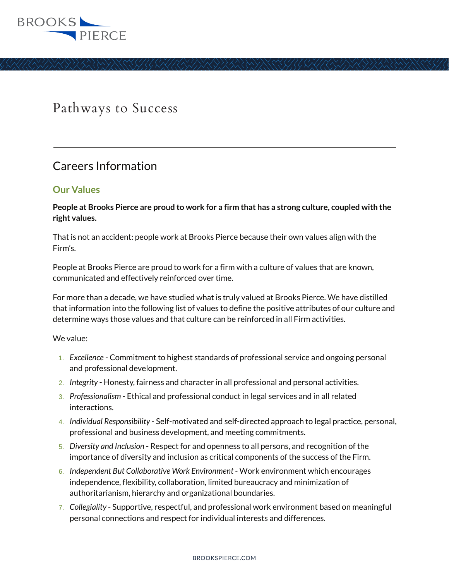

## Pathways to Success

## Careers Information

## **Our Values**

 $\overline{a}$ 

**People at Brooks Pierce are proud to work for a firm that has a strong culture, coupled with the right values.** 

That is not an accident: people work at Brooks Pierce because their own values align with the Firm's.

People at Brooks Pierce are proud to work for a firm with a culture of values that are known, communicated and effectively reinforced over time.

For more than a decade, we have studied what is truly valued at Brooks Pierce. We have distilled that information into the following list of values to define the positive attributes of our culture and determine ways those values and that culture can be reinforced in all Firm activities.

We value:

- 1. *Excellence* Commitment to highest standards of professional service and ongoing personal and professional development.
- 2. *Integrity* Honesty, fairness and character in all professional and personal activities.
- 3. *Professionalism* Ethical and professional conduct in legal services and in all related interactions.
- 4. *Individual Responsibility* Self-motivated and self-directed approach to legal practice, personal, professional and business development, and meeting commitments.
- 5. *Diversity and Inclusion* Respect for and openness to all persons, and recognition of the importance of diversity and inclusion as critical components of the success of the Firm.
- 6. *Independent But Collaborative Work Environment*  Work environment which encourages independence, flexibility, collaboration, limited bureaucracy and minimization of authoritarianism, hierarchy and organizational boundaries.
- 7. *Collegiality* Supportive, respectful, and professional work environment based on meaningful personal connections and respect for individual interests and differences.